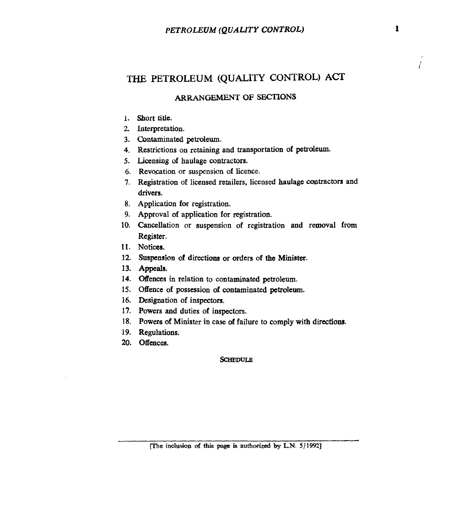# THE **PETROLEUM** (QUALITY **CONTROL) ACT**

### **ARRANGEMENT OF SECTIONS**

- **1.**  Short title.
- *2.*  Interpretation.
- **3.**  Contaminated **petroleum.**
- **4.**  Restrictions on retaining and transportation **of** petrdeum.
- *5.*  **Licensing** of haulage contractors.
- 6. Revocation or suspension of licence.
- **7.**  Registration of licensed retailers, licensed haulage contractors and drivers.
- **8.**  Application **for** registration.
- **9.**  Approval of application **for** registration.
- **10.**  Cancellation or suspension of registration and removal from Register.
- **11. Notices.**
- **12. Suspension** of directions or orders of **the Minister.**
- **13. Appeals.**
- 14. Offences in relation to contaminated petroleum.
- **15.**  Offence of possession **of** contaminated petroleum.
- **16.**  Designation of inspectors.
- **17.**  Powers and duties of inspectors.
- **18.**  Powers of Minister in case of failure to comply with directions.
- **19.**  Regulations.
- *20.*  offences.

#### **SCHEDULE**

*i* 

<sup>[</sup>The inclusion of this page is authorized by L.N. 5/1992]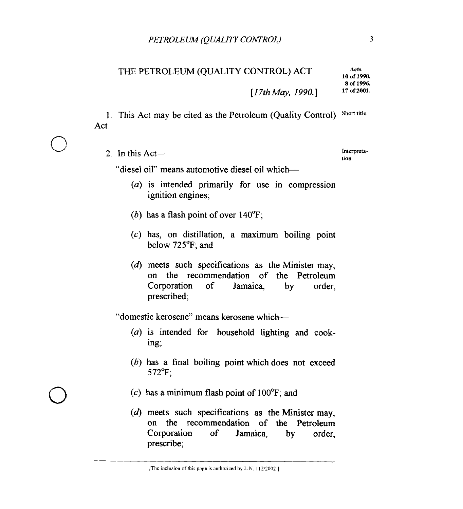### THE PETROLEUM (QUALITY CONTROL) ACT

*[17thMay, I990.1* **17 of 2001.** 

1. This Act may be cited as the Petroleum (Quality Control) Short title. Act.

2. In this Act-

**Interpretation.** 

**Arts 10 of 1990, 8 of 19%.** 

"diesel oil" means automotive diesel oil which-

- (a) is intended primarily for use in compression ignition engines;
- (b) has a flash point of over 140°F;
- $(c)$  has, on distillation, a maximum boiling point below **725°F;** and
- **(d)** meets such specifications as the Minister may, on the recommendation of the Petroleum Corporation of Jamaica, by order, prescribed;

"domestic kerosene" means kerosene which-

- (a) is intended for household lighting **and** cooking;
- (b) has a final boiling point which does not exceed **572°F;**
- $(c)$  has a minimum flash point of 100 $^{\circ}$ F; and
- (d) meets such specifications **as** the Minister may, on the recommendation of the Petroleum Corporation of Jamaica, by order, prescribe;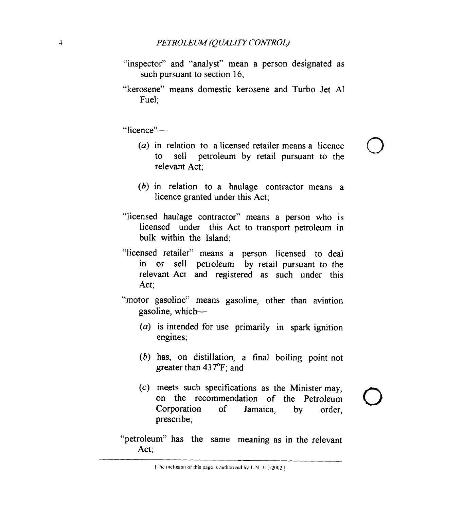- "inspector" and "analyst" mean a person designated as such pursuant to section **16;**
- "kerosene" means domestic kerosene and Turbo Jet **AI**  Fuel;

"licence"-

*(a)* in relation to a licensed retailer means a licence to sell petroleum by retail pursuant to the relevant Act;

*0* 

- *(b)* in relation to a haulage contractor means a licence granted under this Act;
- "licensed haulage contractor" means a person who is licensed under this Act to transport petroleum in bulk within the Island;
- "licensed retailer" means a person licensed to deal in or sell petroleum by retail pursuant to the relevant Act and registered as such under this Act;
- "motor gasoline" means gasoline, other than aviation gasoline, which-
	- *(a)* is intended for use primarily in spark ignition engines;
	- *(b)* has, on distillation, a final boiling point not greater than **437°F;** and
	- *(c)* meets such specifications as the Minister may, on the recommendation of the Petroleum Corporation of Jamaica, by order, prescribe;
- "petroleum" has the same meaning as in the relevant Act;

ITlic **IiicIusIon of IliIs page IS nlltlioll/ed** by **1.** N **I** *lZil002*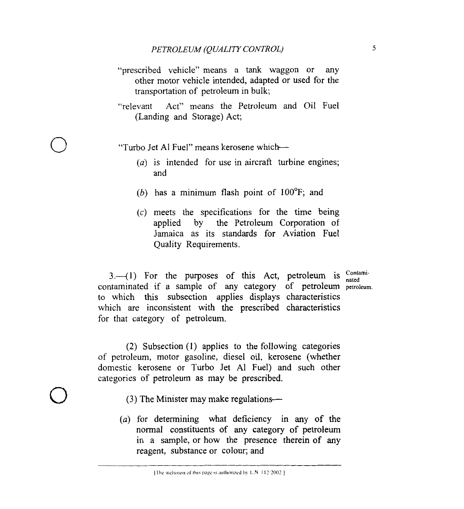- "prescribed vehicle" means a tank waggon or any other motor vehicle intended, adapted or used for the transportation of petroleum in bulk;
- "relevant Act" means the Petroleum and Oil Fuel (Landing and Storage) Act;

"Turbo Jet Al Fuel" means kerosene which-

*0* 

- *(a)* is intended for use in aircraft turbine engines; and
- *(b)* has a minimum flash point of 100°F; and
- $(c)$  meets the specifications for the time being applied by the Petroleum Corporation of Jamaica as its standards for Aviation Fuel Quality Requirements.

 $3.-(1)$  For the purposes of this Act, petroleum is  $^{Contini-}$ contaminated if a sample of any category of petroleum petroleum. to which this subsection applies displays characteristics which are inconsistent with the prescribed characteristics for that category of petroleum.

*0*  **(2)** Subsection **(1)** applies to the following categories of petroleum, motor gasoline, diesel oil, kerosene (whether domestic kerosene or Turbo Jet A1 Fuel) and such other categories of petroleum as may be prescribed.

- (3) The Minister may make regulations—
- *(a)* for determining what deficiency in **any** of the normal constituents of any category of petroleum in a sample, or how the presence therein of any reagent, substance or colour; and

The inclusion of this page is authorized by L.N. 112/2002.1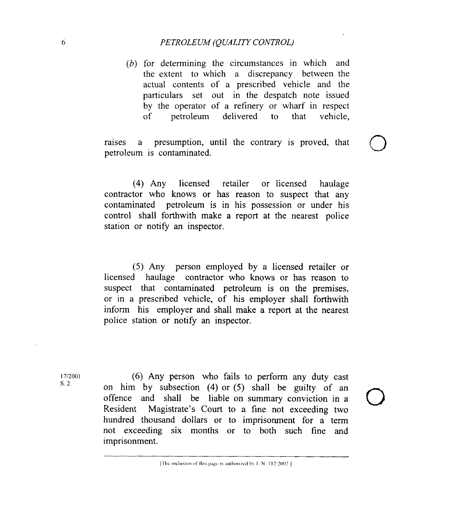## 6 *PETROLEUM (QUALITY CONTROL)*

*(b)* for determining the circumstances in which and the extent to which a discrepancy between the actual contents of a prescribed vehicle and the particulars set out in the despatch note issued by the operator of a refinery or wharf in respect of petroleum delivered to that vehicle,

petroleum is contaminated. raises a presumption, until the contrary is proved, that  $\bigcirc$ 

(4) Any licensed retailer or licensed haulage contractor who knows or has reason to suspect that any contaminated petroleum is in his possession or under his control shall forthwith make a report at the nearest police station or notify an inspector.

(5) Any person employed by a licensed retailer or licensed haulage contractor who knows or has reason to suspect that contaminated petroleum is on the premises, or in a prescribed vehicle, of his employer shall forthwith inform his employer and shall make a report at the nearest police station or notify an inspector.

I712001 s. 2.

*(6)* Any person who fails to perform any duty cast on him by subsection (4) or (5) shall be guilty of an offence and shall be liable on summary conviction in a Resident Magistrate's Court to a fine not exceeding two hundred thousand dollars or to imprisonment for a term not exceeding six months or to both such fine and imprisonment.

<sup>[</sup>The inclusion of this page is authorized by L.N. 112/2002].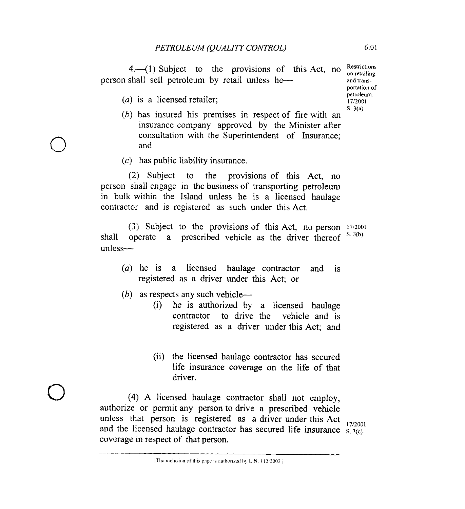4.-(1) Subject to the provisions of this Act, no  $\frac{\text{Restrictions}}{\text{on retaining}}$ person shall sell petroleum by retail unless he-

(*a*) is a licensed retailer;

*0* 

*0* 

- *(b)* has insured his premises in respect of fire with an insurance company approved by the Minister after consultation with the Superintendent of Insurance; and
- $(c)$  has public liability insurance.

(2) Subject to the provisions of this Act, no person shall engage in the business of transporting petroleum in bulk within the Island unless he is a licensed haulage contractor and is registered as such under this Act.

(3) Subject to the provisions of this Act, no person **17/2001**  shall operate a prescribed vehicle as the driver thereof S. 3(b). unless-

- *(a)* he is a licensed haulage contractor and is registered as a driver under this Act; or
- (b) as respects any such vehicle-
	- (i) he is authorized by a licensed haulage contractor to drive the vehicle and is registered as a driver under this Act; and
	- (ii) the licensed haulage contractor has secured life insurance coverage on the life of that driver.

**(4)** A licensed haulage contractor shall not employ, authorize or permit any person to drive a prescribed vehicle unless that person is registered as a driver under this Act 17/2001 and the licensed haulage contractor has secured life insurance  $\frac{3.3(c)}{S_1}$ . coverage in respect of that person.

portation of petroleum.<br>17/2001 S. **3(a)** 

<sup>[</sup>The inclusion of this page is authorized by L.N. 112:2002].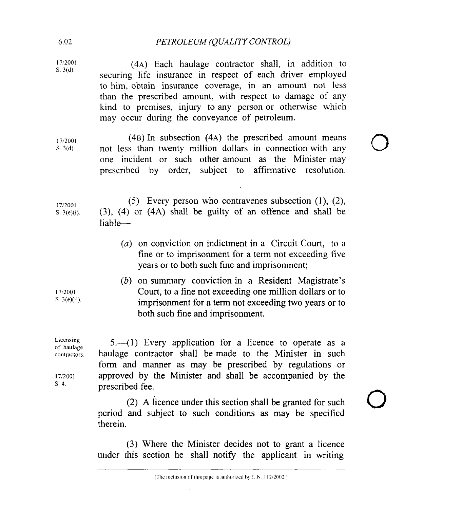# 6.02 *PETROLEUM (QUALITY CONTROL)*

| 17/2001<br>S. 3(d).                                         | (4A) Each haulage contractor shall, in addition to<br>securing life insurance in respect of each driver employed<br>to him, obtain insurance coverage, in an amount not less<br>than the prescribed amount, with respect to damage of any<br>kind to premises, injury to any person or otherwise which<br>may occur during the conveyance of petroleum. |  |
|-------------------------------------------------------------|---------------------------------------------------------------------------------------------------------------------------------------------------------------------------------------------------------------------------------------------------------------------------------------------------------------------------------------------------------|--|
| 17/2001<br>S. 3(d).                                         | (4B) In subsection (4A) the prescribed amount means<br>not less than twenty million dollars in connection with any<br>one incident or such other amount as the Minister may<br>prescribed by order, subject to affirmative resolution.                                                                                                                  |  |
| 17/2001<br>S. $3(e)(i)$ .                                   | (5) Every person who contravenes subsection $(1)$ , $(2)$ ,<br>$(3)$ , $(4)$ or $(4A)$ shall be guilty of an offence and shall be<br>liable-                                                                                                                                                                                                            |  |
|                                                             | (a) on conviction on indictment in a Circuit Court, to a<br>fine or to imprisonment for a term not exceeding five<br>years or to both such fine and imprisonment;                                                                                                                                                                                       |  |
| 17/2001<br>S. $3(e)(ii)$ .                                  | (b) on summary conviction in a Resident Magistrate's<br>Court, to a fine not exceeding one million dollars or to<br>imprisonment for a term not exceeding two years or to<br>both such fine and imprisonment.                                                                                                                                           |  |
| Licensing<br>of haulage<br>contractors.<br>17/2001<br>S. 4. | $5.$ (1) Every application for a licence to operate as a<br>haulage contractor shall be made to the Minister in such<br>form and manner as may be prescribed by regulations or<br>approved by the Minister and shall be accompanied by the<br>prescribed fee.                                                                                           |  |

(2) **A** licence under this section shall be granted for such period and subject to such conditions as may be specified therein.

**(3)** Where the Minister decides not to grant a licence under this section he shall notify the applicant in writing

 $\ddot{\phantom{0}}$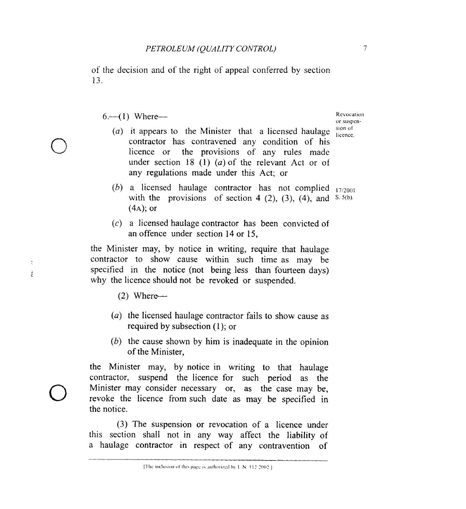of the decision and of the right of appeal conferred by section 13.

# $6. - (1)$  Where--

- (a) it appears to the Minister that a licensed haulage  $\frac{\sinh(\theta)}{\theta}$ contractor has contravened any condition of his licence or the provisions of any rules made under section 18 (1) *(a)* of the relevant Act or of any regulations made under this Act; or
- $(b)$  a licensed haulage contractor has not complied  $_{17/2001}$ with the provisions of section 4 (2), (3), (4), and  $S(5(b))$ .  $(4A);$  or
- (c) a licensed haulage contractor has been convicted of an offence under section 14 or 15,

the Minister may, by notice in writing, require that haulage contractor to show cause within such time as may be specified in the notice (not being less than fourteen days) why the licence should not be revoked or suspended.

- $(2)$  Where--
- *(a)* the licensed haulage contractor fails to show cause as required by subsection (1); or
- *(6)* the cause shown by him is inadequate in the opinion of the Minister,

the Minister may, by notice in writing to that haulage contractor, suspend the licence for such period as the Minister may consider necessary or, as the case may be, revoke the licence from such date as may be specified in the notice. *0* 

> (3) The suspension or revocation of a licence under this section shall not in any way affect the liability of a haulage contractor in respect of any contravention of

or suspcn-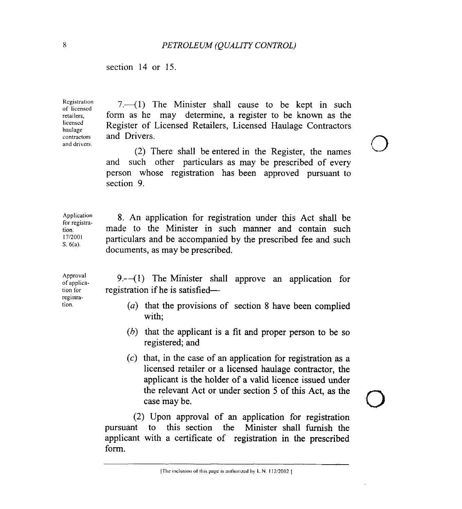section 14 or 15.

Registration of licensed retailers, licensed haulage contractors and drivers.

 $7.41$ ) The Minister shall cause to be kept in such form as he may determine, a register to be known as the Register of Licensed Retailers, Licensed Haulage Contractors and Drivers.

(2) There shall be entered in the Register, the names and such other particulars as may be prescribed of every person whose registration has been approved pursuant to section 9.

Application for registration. 1712001 S. 6(a). 8. An application for registration under this Act shall be made to the Minister in such manner and contain such particulars and be accompanied by the prescribed fee and such documents, as may be prescribed.

Approval of application for registration.

9. $-(1)$  The Minister shall approve an application for registration if he is satisfied-

- *(a)* that the provisions of section 8 have been complied with;
- *(h)* that the applicant is a fit and proper person to be so registered; and
- *(c)* that, in the case of an application for registration **as** a licensed retailer or a licensed haulage contractor, the applicant is the holder of a valid licence issued under the relevant Act or under section *5* of this Act, as the case 'may be.

(2) Upon approval of an application for registration pursuant to this section the Minister shall furnish the applicant with a certificate of registration in the prescribed form.

<sup>[</sup>The inclusion of this page is authorized by L.N. 112/2002 ]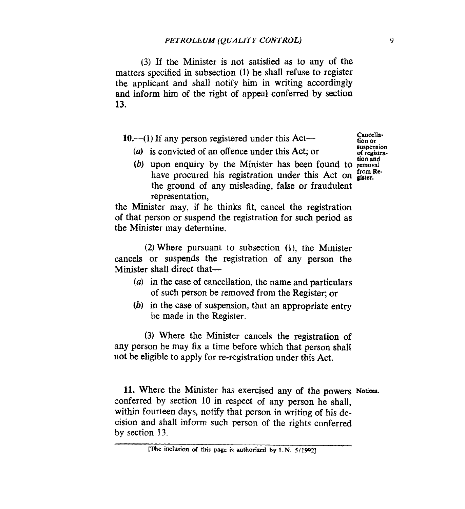**(3) If** the Minister is not satisfied as to any of the matters specified in subsection **(1)** he shall refuse to register the applicant and shall notify him in writing accordingly and inform him of the right of appeal conferred by section **13.** 

**10.—(1)** If any person registered under this Act—

*(a)* **is** convicted of an offence under this Act; or

- **Cancellation or suspension**
- (b) upon enquiry by the Minister has been found to removal have procured his registration under this Act on **since**. the ground of any misleading, false or fraudulent representation,

the Minister may, if he thinks fit, cancel the registration **of** that person or suspend the registration for such period as the Minister may determine.

(2) Where pursuant to subsection (l), the Minister cancels or suspends the registration of any person the Minister shall direct that-

- *(a)* in the case of cancellation, the name and particulars of such person be removed from the Register; or
- *(b)* in the case of suspension, that an appropriate entry be made in the Register.

(3) Where the Minister cancels the registration of any person he may **fix** a time before which that person shall not be eligible to apply for re-registration under this Act.

11. Where the Minister has exercised any of the powers *Notices*. conferred by section 10 in respect of any person he shall, within fourteen days, notify that person in writing of his decision and shall inform such person of the rights conferred by section 13.

**me inclusion** *orf* this **page i3 aubhbn'zed by L.N.** *5/1992]*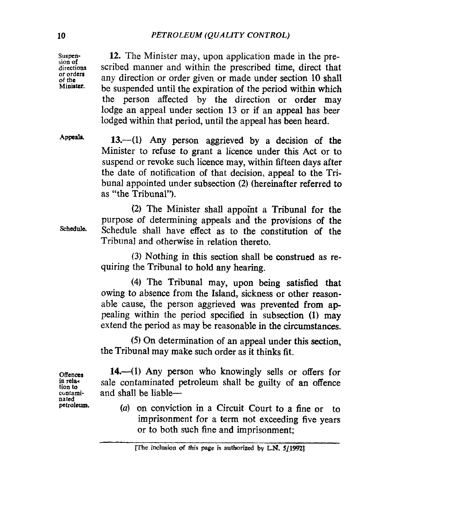**Suspension of directions or orders of the Miairter.** 

**12.** The Minister may, upon application made in the prescribed manner and within the prescribed time, direct that any direction or order given or made under section 10 shall be suspended until the expiration of the period within which the person affected by the direction or order may lodge an appeal under section 13 or if an appeal has beer lodged within that period, until the appeal has been heard.

Appeals.

**13.-(1) Any** person aggrieved by a decision of the Minister to refuse to grant a licence under this Act or to suspend or revoke such licence may, within fifteen days after the date of notification of that decision, appeal to the **Tri**bunal appointed under subsection **(2)** (hereinafter referred to as "the Tribunal").

**Schedule.** 

(2) The Minister shall appoint a Tribunal for the purpose of determining appeals and the provisions of the Schedule shall have effect as to the constitution **of** the Tribunal and otherwise in relation thereto.

**(3)** Nothing in this section shall be construed as requiring the Tribunal to hold any hearing.

**(4)** The Tribunal may, upon being satisfied that owing to absence from the Island, sickness or other reasonable cause, the person aggrieved was prevented from appealing within the period specified in subsection **(1)** may extend the period as may **be** reasonable in the circumstances.

*(5)* On determination **of** an appeal under this section, the Tribunal may make such order as it thinks fit.

14.—(1) Any person who knowingly sells or offers for sale contaminated petroleum shall be guilty **of** an offence and shall be liable-

*(a)* on conviction in a Circuit Court to a fine **or** to imprisonment for a term not exceeding five years or to both **such** fine and imprisonment;

**Offences**  in rela**tioa** *to cmtami***nated petroleum.** 

**phe inclusion** *of* **th;s page is authorized by LN. 5]19%]**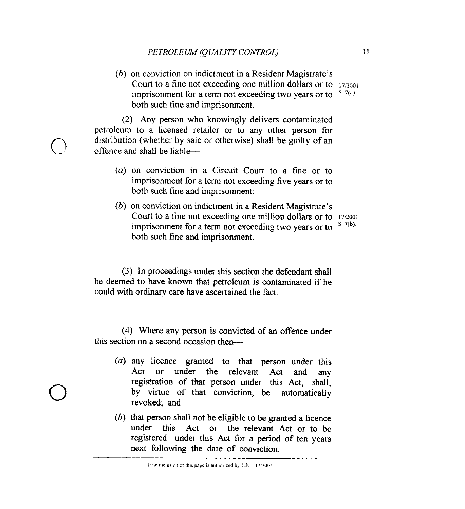*(b)* on conviction on indictment in a Resident Magistrate's Court to a fine not exceeding one million dollars or to  $17/2001$ <br>imprisonment for a term not exceeding two years or to  $8.7(a)$ . imprisonment for a term not exceeding two years or to both such fine and imprisonment.

**(2)** Any person who knowingly delivers contaminated petroleum to a licensed retailer or to any other person for distribution (whether by sale or otherwise) shall be guilty of an offence and shall be liable--

- *(a)* on conviction in a Circuit Court to a fine or to imprisonment for a term not exceeding five years or to both such fine and imprisonment;
- *(b)* on conviction on indictment in a Resident Magistrate's Court to a fine not exceeding one million dollars or to  $17/2001$ <br>imprisonment for a term not exceeding two vents or to  $8.7(b)$ . both such fine and imprisonment. imprisonment for a term not exceeding two years or to

**(3)** In proceedings under this section the defendant shall be deemed to have **known** that petroleum is contaminated if he could with ordinary care have ascertained the fact.

(4) Where any person is convicted of an offence under this section on a second occasion then-

- *(a)* any licence granted to that person under this Act or under the relevant Act and any registration *of* that person under this Act, shall, by virtue of that conviction, be automatically revoked; and
- *(6)* that person shall not be eligible to be granted a licence under this Act or the relevant **Act** or to be registered under this Act for a period of ten years next following the date of conviction.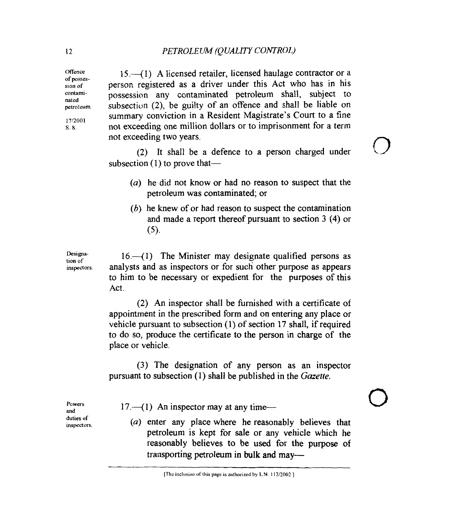15.41) A licensed retailer, licensed haulage contractor or a person registered as a driver under this Act who has in his possession any contaminated petroleum shall, subject to subsection **(2),** be guilty of an offence and shall be liable on summary conviction in a Resident Magistrate's Court to a fine not exceeding one million dollars or to imprisonment for a term not exceeding two years.

(2) It shall be a defence to a person charged under subsection  $(1)$  to prove that-

- (a) he did not know or had no reason to suspect that the petroleum was contaminated; or
- (b) he knew of or had reason to suspect the contamination and made a report thereof pursuant to section 3 **(4)** or *(5).*

 $16-1$ ) The Minister may designate qualified persons as analysts and as inspectors or for such other purpose as appears to him to be necessary or expedient for the purposes of this Act.

(2) An inspector shall be furnished with a certificate of appointment in the prescribed form and on entering any place or vehicle pursuant to subsection (1) of section 17 shall, if required to do so, produce the certificate to the person in charge of the place or vehicle.

(3) The designation of any person **as** an inspector pursuant to subsection (1) shall be published in the *Gazette.* 

**Powers and duties of inspectors.** 

**Designation** of **inspectors.** 

17.<sup>41</sup> An inspector may at any time--

(a) enter any place where he reasonably believes that petroleum is kept for sale or any vehicle which he reasonably believes to be used for the purpose of transporting petroleum in **bulk** and may-

**Offence**  of **possession of**  contami**petroleum. 1712001 s. 8.** 

**Mted**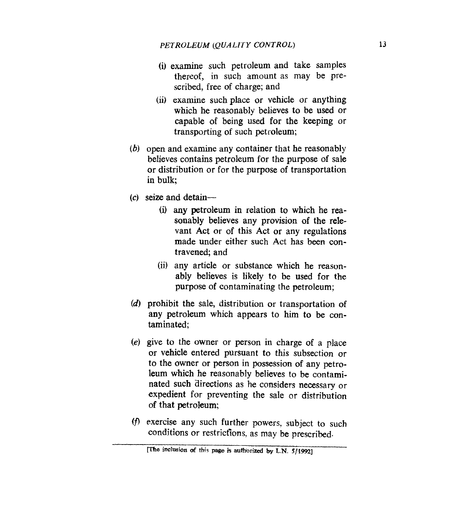- (i) examine such petroleum and take samples thereof, in such amount as **may** be prescribed, free of charge; and
- (ii) examine such place or vehicle or anything which he reasonably believes to be used or capable **of** being used for the keeping or transporting of such petroleum;
- *(b)* open and examine any container that he reasonably believes contains petroleum for the purpose of sale or distribution or for the purpose of transportation in bulk;
- **(c)** seize and detain-
	- (i) any petroleum in relation to which he reasonably believes any provision **of** the relevant Act or of this Act or any regulations made under either such Act has been contravened; and
	- (ii) any article or substance which he reasonably believes is likely to be **used for** the purpose **of** contaminating the petroleum;
- *(d)* prohibit the sale, distribution or transportation of any petroleum which appears to him to be contaminated;
- *(e)* give to the owner or person in charge of a place or vehicle entered pursuant to this subsection or to the owner or person in possession **of** any petroleum which he reasonably believes to be contaminated such directions as he considers necessary or expedient for preventing the sale or distribution of that petroleum;
- (f) exercise any such further powers, subject to such conditions or restrictions, as may be prescribed.

<sup>[</sup>The inclusion of this page is authorized by L.N. 5/1992]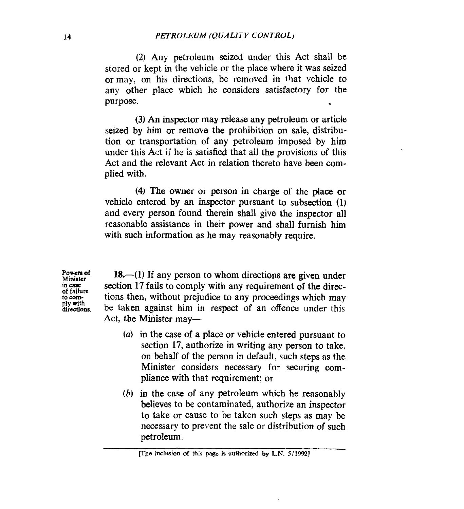**(2) Any** petroleum seized under this Act shall be stored or kept in the vehicle or the place where it was seized or may, on his directions, be removed in that vehicle to any other place which he considers satisfactory for the purpose.

**(3)** An inspector may release any petroleum **or** article seized by him or remove the prohibition on sale, distribution or transportation of **any** petroleum imposed by him under this **Act** if he is satisfied that all the provisions of this Act and the relevant Act in relation thereto have been **com**plied with.

**(4) The** owner or person in charge of the place or vehicle entered by an inspector pursuant to subsection (1) and every person found therein shall give the inspector all reasonable assistance in their power and shall furnish him with such information as he may reasonably require.

**Powerr of Minilter in** *clue*  **of failure to comply with directions.** 

18.—(1) If any person to whom directions are given under section 17 fails to comply with any requirement **of** the directions then, without prejudice to any proceedings which may be taken against him in respect of an offence under this Act, the Minister may—

- *(a)* in the case **of** a place or vehicle entered pursuant to section 17, authorize in writing any person to take, on behalf **of** the person in default, such steps as the Minister considers necessary for securing **com**pliance with that requirement; or
- *(b)* in the case of any petroleum which he reasonably believes to be contaminated, authorize an inspector to take or cause to be taken such steps as may be necessary to prevent the sale or distribution of **such**  petroleum.

**yz%e inclusion** *of* **this page is autn'zed by L.N.** *5/1592]*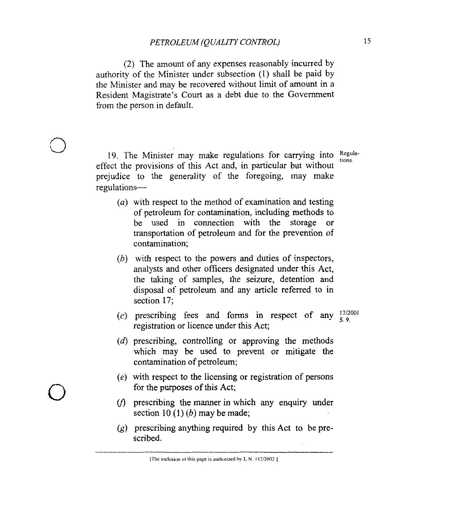(2) The amount of any expenses reasonably incurred by authority of the Minister under subsection (1) shall be paid by the Minister and may be recovered without limit of amount in a Resident Magistrate's Court as a debt due to the Government from the person in default.

Regula-19. The Minister may make regulations for carrying into **tions**  effect the provisions of this Act and, in particular but without prejudice to the generality of the foregoing, may make regulations-

*3* 

*0* 

- $(a)$  with respect to the method of examination and testing of petroleum for contamination, including methods to be used in connection with the storage or transportation of petroleum and for the prevention of contamination;
- $(b)$  with respect to the powers and duties of inspectors, analysts and other officers designated under this Act, the taking of samples, the seizure, detention and disposal of petroleum and any article referred to in section 17;
- (c) prescribing fees and forms in respect of any  $\frac{17}{2001}$ registration or licence under this Act;
- $(d)$  prescribing, controlling or approving the methods which may be used to prevent or mitigate the contamination of petroleum;
- $(e)$  with respect to the licensing or registration of persons for the purposes of this Act;
- $(f)$  prescribing the manner in which any enquiry under section  $10(1)(b)$  may be made;
- $(p)$  prescribing anything required by this Act to be prescribed.

[The inclusion of this page is authorized by L.N. 112/2002]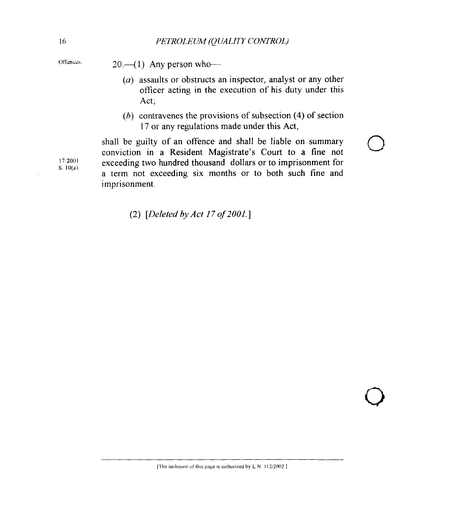- Offences.  $20 (1)$  Any person who-
	- *(a)* assaults or obstructs an inspector, analyst or any other officer acting in the execution of his duty under this Act;
	- *(h)* contravenes the provisions of subsection **(4)** of section 17 or any regulations made under this Act,

shall be guilty of an offence and shall be liable on summary conviction in a Resident Magistrate's Court to a fine not exceeding two hundred thousand dollars or to imprisonment for a term not exceeding six months or to both such fine and imprisonment.

**(2)** *[Deletedby Act 170f2001.1* 

**17 2001 s lO(d)** 

 $\overline{Q}$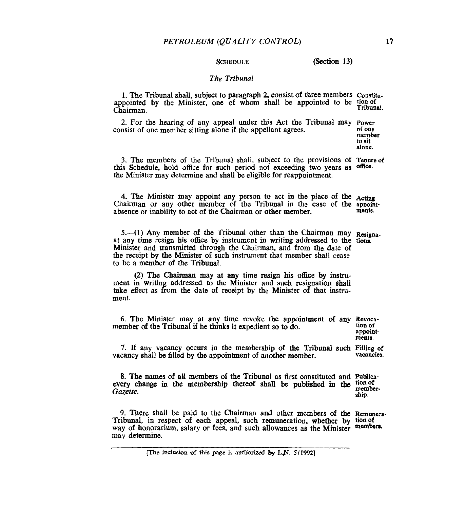**SCHEDULE** (Section 13)

#### *The Tribunal*

1. The Tribunal shall, subject to paragraph **2,** consist of three members **Constitu**appointed by the Minister, one of whom shall be appointed to be tion of Tribunal. Chairman.

2. For the hearing of any appeal under **this** Act the Tribunal may **Power**  consist of one member sitting alone if the appellant agrees.

*of* **one member to sit alone.** 

3. The members of the Tribunal shall, subject to the provisions of **Tenure of**  this Schedule, hold office for such period not exceeding two years as the Minister may determine and shall be eligible for reappointment. **office.** 

**4.** The Minister may appoint any person to act in the place *of* the Chairman or any other member of the Tribunal in the case of the appoint-<br> **absence** or inability to act of the Chairman or other member absence or inability to act of the Chairman or other member.

5. (1) Any member of the Tribunal other than the Chairman may Resignaat any time resign his office by instrument in writing addressed to the tionr. Minister and transmitted through the Chairman, and from the date of **the** receipt **by** the Minister **of** such instmment that member shall cease to be a member of the Tribunal.

**(2)** The **Chairman** may at **any** time resign his office by **instru**ment in writing addressed to the Minister and such resignation shall take effect as from the date of receipt **by** the Minister of that **instru**ment.

6. The Minister may at any time revoke the appointment of **any Revoca**member of the Tribunal if he thinks it expedient so to do.

**t1on of appointments.** 

7. If any vacancy occurs in the membership of the Tribunal such Filling of **vacancies.**  vacancy shall be filled **by** the appointment of another member.

8. The names of all members of the Tribunal as first constituted and Publicaevery change in the membership thereof shall be published in the **tion of** Gazette. *Gazette.* **ship.** 

9. There shall be paid to the Chairman and other members *of* the **Remuera-**Tribunal, in respect of each appeal, such remuneration, whether by **tionof**  way of honorarium, salary or **fees,** and such allowances as the Minister **meanborn**may determine.

**rhe inclusion d this page is authorized by L.N.** *5/1992]*